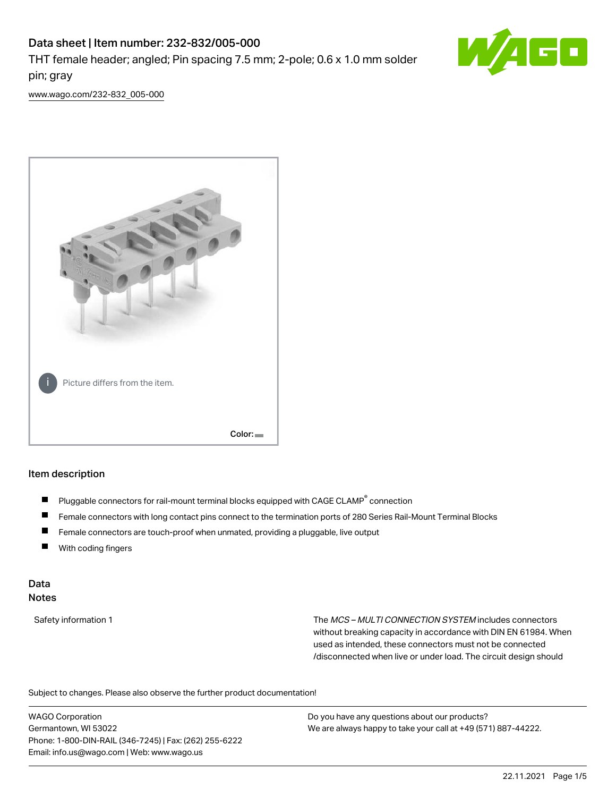# Data sheet | Item number: 232-832/005-000 THT female header; angled; Pin spacing 7.5 mm; 2-pole; 0.6 x 1.0 mm solder pin; gray



[www.wago.com/232-832\\_005-000](http://www.wago.com/232-832_005-000)



#### Item description

- Pluggable connectors for rail-mount terminal blocks equipped with CAGE CLAMP<sup>®</sup> connection П
- П Female connectors with long contact pins connect to the termination ports of 280 Series Rail-Mount Terminal Blocks
- $\blacksquare$ Female connectors are touch-proof when unmated, providing a pluggable, live output
- $\blacksquare$ With coding fingers

### Data Notes

Safety information 1 The MCS – MULTI CONNECTION SYSTEM includes connectors without breaking capacity in accordance with DIN EN 61984. When used as intended, these connectors must not be connected /disconnected when live or under load. The circuit design should

Subject to changes. Please also observe the further product documentation!  $\mathbf{e}$ 

WAGO Corporation Germantown, WI 53022 Phone: 1-800-DIN-RAIL (346-7245) | Fax: (262) 255-6222 Email: info.us@wago.com | Web: www.wago.us

Do you have any questions about our products? We are always happy to take your call at +49 (571) 887-44222.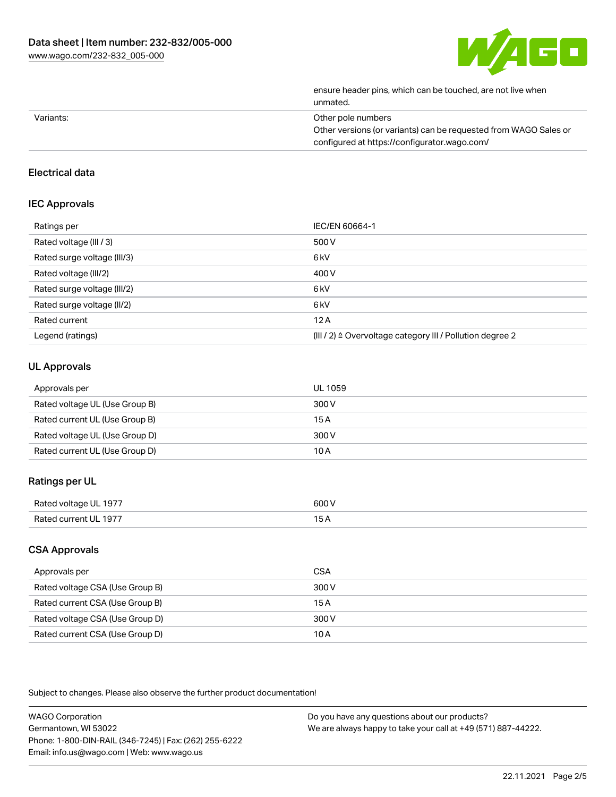

| ensure header pins, which can be touched, are not live when<br>unmated. |
|-------------------------------------------------------------------------|
| Other pole numbers                                                      |
| Other versions (or variants) can be requested from WAGO Sales or        |
| configured at https://configurator.wago.com/                            |
|                                                                         |

### Electrical data

### IEC Approvals

| Ratings per                 | IEC/EN 60664-1                                            |
|-----------------------------|-----------------------------------------------------------|
| Rated voltage (III / 3)     | 500 V                                                     |
| Rated surge voltage (III/3) | 6 <sub>kV</sub>                                           |
| Rated voltage (III/2)       | 400 V                                                     |
| Rated surge voltage (III/2) | 6 <sub>kV</sub>                                           |
| Rated surge voltage (II/2)  | 6 <sub>kV</sub>                                           |
| Rated current               | 12A                                                       |
| Legend (ratings)            | (III / 2) ≙ Overvoltage category III / Pollution degree 2 |

# UL Approvals

| Approvals per                  | UL 1059 |
|--------------------------------|---------|
| Rated voltage UL (Use Group B) | 300 V   |
| Rated current UL (Use Group B) | 15 A    |
| Rated voltage UL (Use Group D) | 300 V   |
| Rated current UL (Use Group D) | 10 A    |

# Ratings per UL

| Rated vol†^<br>-1977<br>. . | 600 V<br>. |
|-----------------------------|------------|
| 1977<br>Dot<br>≀ II ⊹       |            |

### CSA Approvals

| Approvals per                   | CSA   |
|---------------------------------|-------|
| Rated voltage CSA (Use Group B) | 300 V |
| Rated current CSA (Use Group B) | 15 A  |
| Rated voltage CSA (Use Group D) | 300 V |
| Rated current CSA (Use Group D) | 10 A  |

Subject to changes. Please also observe the further product documentation!

| <b>WAGO Corporation</b>                                | Do you have any questions about our products?                 |
|--------------------------------------------------------|---------------------------------------------------------------|
| Germantown, WI 53022                                   | We are always happy to take your call at +49 (571) 887-44222. |
| Phone: 1-800-DIN-RAIL (346-7245)   Fax: (262) 255-6222 |                                                               |
| Email: info.us@wago.com   Web: www.wago.us             |                                                               |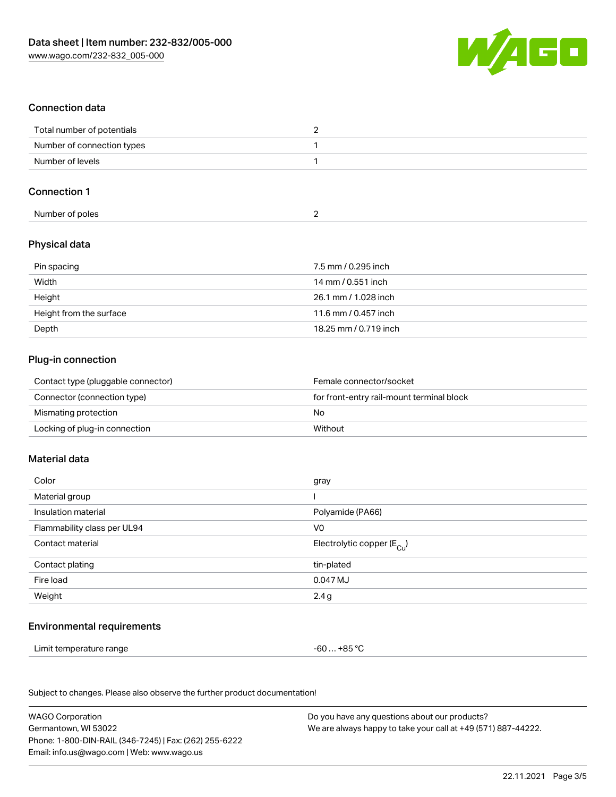

### Connection data

| Total number of potentials |  |
|----------------------------|--|
| Number of connection types |  |
| Number of levels           |  |

### Connection 1

| Number of poles |  |  |
|-----------------|--|--|

# Physical data

| Pin spacing             | 7.5 mm / 0.295 inch   |
|-------------------------|-----------------------|
| Width                   | 14 mm / 0.551 inch    |
| Height                  | 26.1 mm / 1.028 inch  |
| Height from the surface | 11.6 mm / 0.457 inch  |
| Depth                   | 18.25 mm / 0.719 inch |

### Plug-in connection

| Contact type (pluggable connector) | Female connector/socket                   |
|------------------------------------|-------------------------------------------|
| Connector (connection type)        | for front-entry rail-mount terminal block |
| Mismating protection               | No                                        |
| Locking of plug-in connection      | Without                                   |

### Material data

| Color                       | gray                                    |
|-----------------------------|-----------------------------------------|
| Material group              |                                         |
| Insulation material         | Polyamide (PA66)                        |
| Flammability class per UL94 | V <sub>0</sub>                          |
| Contact material            | Electrolytic copper ( $E_{\text{Cu}}$ ) |
| Contact plating             | tin-plated                              |
| Fire load                   | 0.047 MJ                                |
| Weight                      | 2.4g                                    |
|                             |                                         |

# Environmental requirements

Limit temperature range  $-60... +85$  °C

Subject to changes. Please also observe the further product documentation!

| <b>WAGO Corporation</b>                                | Do you have any questions about our products?                 |
|--------------------------------------------------------|---------------------------------------------------------------|
| Germantown, WI 53022                                   | We are always happy to take your call at +49 (571) 887-44222. |
| Phone: 1-800-DIN-RAIL (346-7245)   Fax: (262) 255-6222 |                                                               |
| Email: info.us@wago.com   Web: www.wago.us             |                                                               |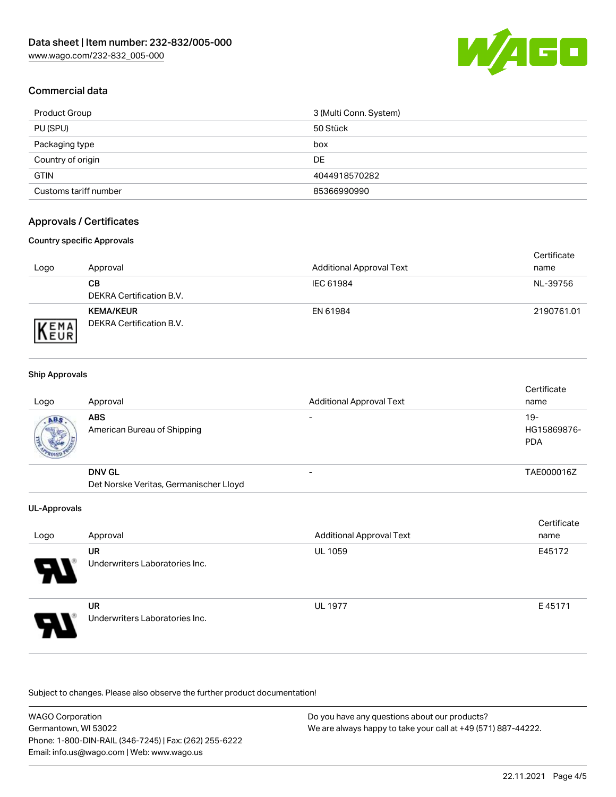

# Commercial data

| Product Group         | 3 (Multi Conn. System) |
|-----------------------|------------------------|
| PU (SPU)              | 50 Stück               |
| Packaging type        | box                    |
| Country of origin     | DE                     |
| <b>GTIN</b>           | 4044918570282          |
| Customs tariff number | 85366990990            |

# Approvals / Certificates

#### Country specific Approvals

| Logo                | Approval                                            | <b>Additional Approval Text</b> | Certificate<br>name |
|---------------------|-----------------------------------------------------|---------------------------------|---------------------|
|                     | CВ<br>DEKRA Certification B.V.                      | IEC 61984                       | NL-39756            |
| EMA<br><b>INEUR</b> | <b>KEMA/KEUR</b><br><b>DEKRA Certification B.V.</b> | EN 61984                        | 2190761.01          |

#### Ship Approvals

| Logo                  | Approval                                  | <b>Additional Approval Text</b> | Certificate<br>name              |
|-----------------------|-------------------------------------------|---------------------------------|----------------------------------|
| ABS.<br><b>CALLES</b> | <b>ABS</b><br>American Bureau of Shipping | $\overline{\phantom{0}}$        | 19-<br>HG15869876-<br><b>PDA</b> |
|                       | <b>DNV GL</b>                             |                                 | TAE000016Z                       |
|                       | Det Norske Veritas, Germanischer Lloyd    |                                 |                                  |

#### UL-Approvals

| Logo                  | Approval                                    | <b>Additional Approval Text</b> | Certificate<br>name |
|-----------------------|---------------------------------------------|---------------------------------|---------------------|
| $\boldsymbol{\theta}$ | UR<br>Underwriters Laboratories Inc.        | <b>UL 1059</b>                  | E45172              |
| 8                     | <b>UR</b><br>Underwriters Laboratories Inc. | <b>UL 1977</b>                  | E45171              |

Subject to changes. Please also observe the further product documentation!

WAGO Corporation Germantown, WI 53022 Phone: 1-800-DIN-RAIL (346-7245) | Fax: (262) 255-6222 Email: info.us@wago.com | Web: www.wago.us Do you have any questions about our products? We are always happy to take your call at +49 (571) 887-44222.